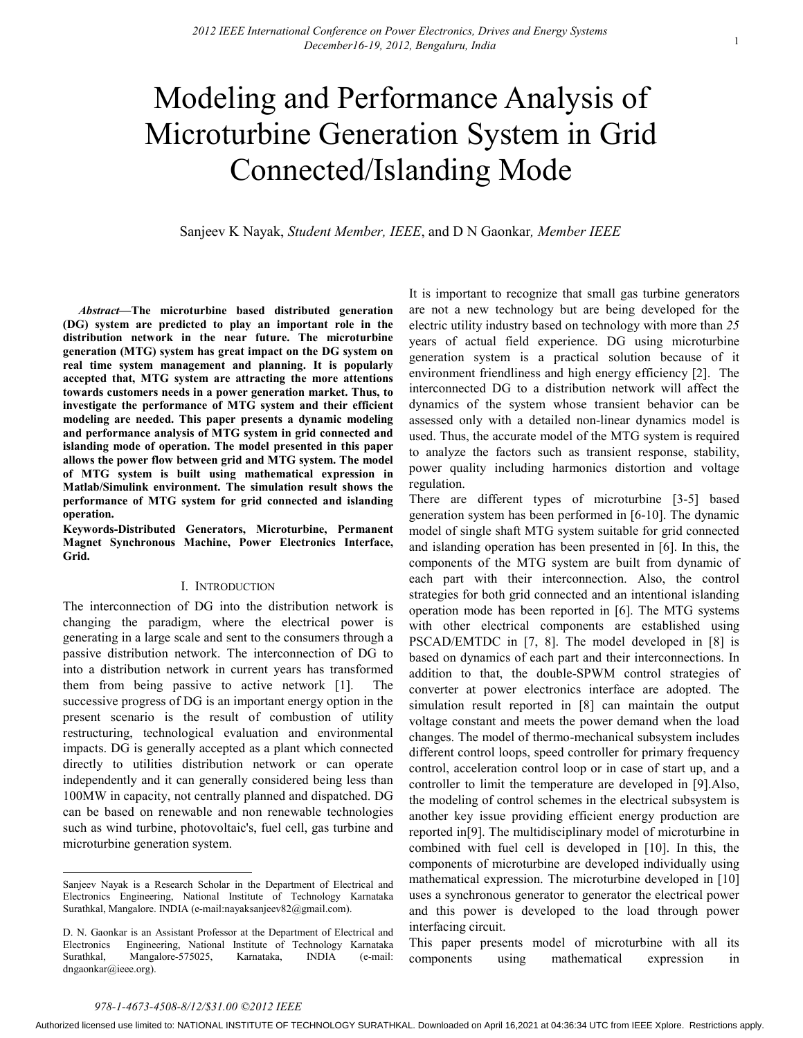# Modeling and Performance Analysis of Microturbine Generation System in Grid Connected/Islanding Mode

Sanjeev K Nayak, *Student Member, IEEE*, and D N Gaonkar*, Member IEEE*

*Abstract***—The microturbine based distributed generation (DG) system are predicted to play an important role in the distribution network in the near future. The microturbine generation (MTG) system has great impact on the DG system on real time system management and planning. It is popularly accepted that, MTG system are attracting the more attentions towards customers needs in a power generation market. Thus, to investigate the performance of MTG system and their efficient modeling are needed. This paper presents a dynamic modeling and performance analysis of MTG system in grid connected and islanding mode of operation. The model presented in this paper allows the power flow between grid and MTG system. The model of MTG system is built using mathematical expression in Matlab/Simulink environment. The simulation result shows the performance of MTG system for grid connected and islanding operation.** 

**Keywords-Distributed Generators, Microturbine, Permanent Magnet Synchronous Machine, Power Electronics Interface, Grid.** 

# I. INTRODUCTION

The interconnection of DG into the distribution network is changing the paradigm, where the electrical power is generating in a large scale and sent to the consumers through a passive distribution network. The interconnection of DG to into a distribution network in current years has transformed them from being passive to active network [1]. The successive progress of DG is an important energy option in the present scenario is the result of combustion of utility restructuring, technological evaluation and environmental impacts. DG is generally accepted as a plant which connected directly to utilities distribution network or can operate independently and it can generally considered being less than 100MW in capacity, not centrally planned and dispatched. DG can be based on renewable and non renewable technologies such as wind turbine, photovoltaic's, fuel cell, gas turbine and microturbine generation system.

It is important to recognize that small gas turbine generators are not a new technology but are being developed for the electric utility industry based on technology with more than *25*  years of actual field experience. DG using microturbine generation system is a practical solution because of it environment friendliness and high energy efficiency [2]. The interconnected DG to a distribution network will affect the dynamics of the system whose transient behavior can be assessed only with a detailed non-linear dynamics model is used. Thus, the accurate model of the MTG system is required to analyze the factors such as transient response, stability, power quality including harmonics distortion and voltage regulation.

There are different types of microturbine [3-5] based generation system has been performed in [6-10]. The dynamic model of single shaft MTG system suitable for grid connected and islanding operation has been presented in [6]. In this, the components of the MTG system are built from dynamic of each part with their interconnection. Also, the control strategies for both grid connected and an intentional islanding operation mode has been reported in [6]. The MTG systems with other electrical components are established using PSCAD/EMTDC in [7, 8]. The model developed in [8] is based on dynamics of each part and their interconnections. In addition to that, the double-SPWM control strategies of converter at power electronics interface are adopted. The simulation result reported in [8] can maintain the output voltage constant and meets the power demand when the load changes. The model of thermo-mechanical subsystem includes different control loops, speed controller for primary frequency control, acceleration control loop or in case of start up, and a controller to limit the temperature are developed in [9].Also, the modeling of control schemes in the electrical subsystem is another key issue providing efficient energy production are reported in[9]. The multidisciplinary model of microturbine in combined with fuel cell is developed in [10]. In this, the components of microturbine are developed individually using mathematical expression. The microturbine developed in [10] uses a synchronous generator to generator the electrical power and this power is developed to the load through power interfacing circuit.

This paper presents model of microturbine with all its components using mathematical expression in

 $\overline{a}$ 

Sanjeev Nayak is a Research Scholar in the Department of Electrical and Electronics Engineering, National Institute of Technology Karnataka Surathkal, Mangalore. INDIA (e-mail:nayaksanjeev82@gmail.com).

D. N. Gaonkar is an Assistant Professor at the Department of Electrical and Electronics Engineering, National Institute of Technology Karnataka Surathkal, Mangalore-575025, Karnataka, INDIA (e-mail: dngaonkar@ieee.org).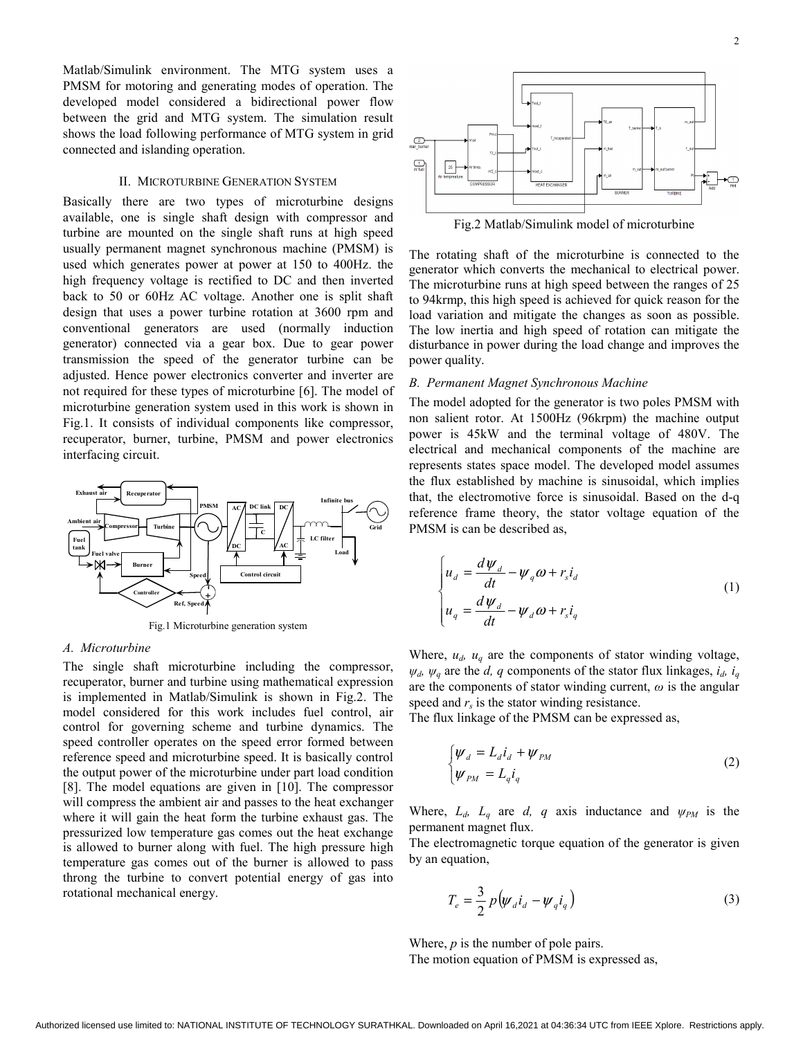Matlab/Simulink environment. The MTG system uses a PMSM for motoring and generating modes of operation. The developed model considered a bidirectional power flow between the grid and MTG system. The simulation result shows the load following performance of MTG system in grid connected and islanding operation.

## II. MICROTURBINE GENERATION SYSTEM

Basically there are two types of microturbine designs available, one is single shaft design with compressor and turbine are mounted on the single shaft runs at high speed usually permanent magnet synchronous machine (PMSM) is used which generates power at power at 150 to 400Hz. the high frequency voltage is rectified to DC and then inverted back to 50 or 60Hz AC voltage. Another one is split shaft design that uses a power turbine rotation at 3600 rpm and conventional generators are used (normally induction generator) connected via a gear box. Due to gear power transmission the speed of the generator turbine can be adjusted. Hence power electronics converter and inverter are not required for these types of microturbine [6]. The model of microturbine generation system used in this work is shown in Fig.1. It consists of individual components like compressor, recuperator, burner, turbine, PMSM and power electronics interfacing circuit.



Fig.1 Microturbine generation system

# *A. Microturbine*

The single shaft microturbine including the compressor, recuperator, burner and turbine using mathematical expression is implemented in Matlab/Simulink is shown in Fig.2. The model considered for this work includes fuel control, air control for governing scheme and turbine dynamics. The speed controller operates on the speed error formed between reference speed and microturbine speed. It is basically control the output power of the microturbine under part load condition [8]. The model equations are given in [10]. The compressor will compress the ambient air and passes to the heat exchanger where it will gain the heat form the turbine exhaust gas. The pressurized low temperature gas comes out the heat exchange is allowed to burner along with fuel. The high pressure high temperature gas comes out of the burner is allowed to pass throng the turbine to convert potential energy of gas into rotational mechanical energy.



Fig.2 Matlab/Simulink model of microturbine

The rotating shaft of the microturbine is connected to the generator which converts the mechanical to electrical power. The microturbine runs at high speed between the ranges of 25 to 94krmp, this high speed is achieved for quick reason for the load variation and mitigate the changes as soon as possible. The low inertia and high speed of rotation can mitigate the disturbance in power during the load change and improves the power quality.

## *B. Permanent Magnet Synchronous Machine*

The model adopted for the generator is two poles PMSM with non salient rotor. At 1500Hz (96krpm) the machine output power is 45kW and the terminal voltage of 480V. The electrical and mechanical components of the machine are represents states space model. The developed model assumes the flux established by machine is sinusoidal, which implies that, the electromotive force is sinusoidal. Based on the d-q reference frame theory, the stator voltage equation of the PMSM is can be described as,

$$
\begin{cases}\n u_d = \frac{d \psi_d}{dt} - \psi_q \omega + r_s i_d \\
u_q = \frac{d \psi_d}{dt} - \psi_d \omega + r_s i_q\n\end{cases}
$$
\n(1)

Where,  $u_d$ ,  $u_q$  are the components of stator winding voltage,  $\psi_d$ ,  $\psi_q$  are the *d, q* components of the stator flux linkages,  $i_d$ ,  $i_q$ are the components of stator winding current, *ω* is the angular speed and  $r<sub>s</sub>$  is the stator winding resistance.

The flux linkage of the PMSM can be expressed as,

$$
\begin{cases} \Psi_d = L_d i_d + \Psi_{PM} \\ \Psi_{PM} = L_q i_q \end{cases}
$$
 (2)

Where,  $L_d$ ,  $L_q$  are *d*, *q* axis inductance and  $\psi_{PM}$  is the permanent magnet flux.

The electromagnetic torque equation of the generator is given by an equation,

$$
T_e = \frac{3}{2} p \left( \psi_d i_d - \psi_q i_q \right) \tag{3}
$$

Where, *p* is the number of pole pairs. The motion equation of PMSM is expressed as,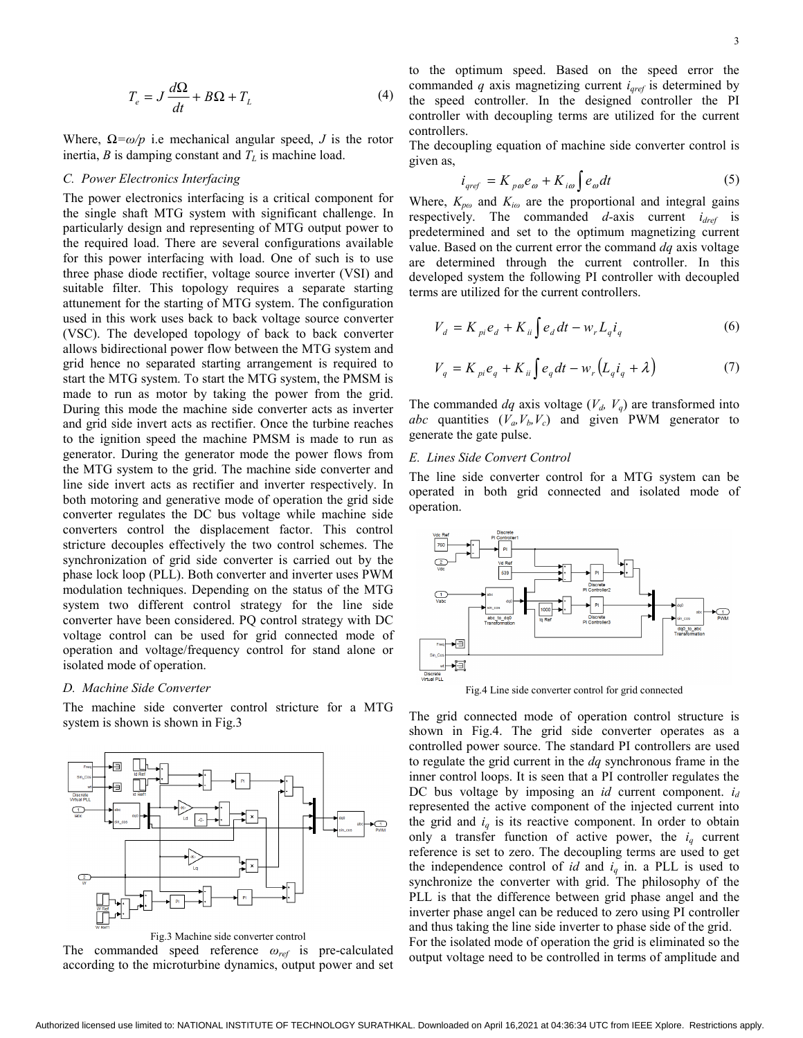$$
T_e = J \frac{d\Omega}{dt} + B\Omega + T_L \tag{4}
$$

Where,  $\Omega = \omega / p$  i.e mechanical angular speed, *J* is the rotor inertia, *B* is damping constant and  $T<sub>L</sub>$  is machine load.

## *C. Power Electronics Interfacing*

The power electronics interfacing is a critical component for the single shaft MTG system with significant challenge. In particularly design and representing of MTG output power to the required load. There are several configurations available for this power interfacing with load. One of such is to use three phase diode rectifier, voltage source inverter (VSI) and suitable filter. This topology requires a separate starting attunement for the starting of MTG system. The configuration used in this work uses back to back voltage source converter (VSC). The developed topology of back to back converter allows bidirectional power flow between the MTG system and grid hence no separated starting arrangement is required to start the MTG system. To start the MTG system, the PMSM is made to run as motor by taking the power from the grid. During this mode the machine side converter acts as inverter and grid side invert acts as rectifier. Once the turbine reaches to the ignition speed the machine PMSM is made to run as generator. During the generator mode the power flows from the MTG system to the grid. The machine side converter and line side invert acts as rectifier and inverter respectively. In both motoring and generative mode of operation the grid side converter regulates the DC bus voltage while machine side converters control the displacement factor. This control stricture decouples effectively the two control schemes. The synchronization of grid side converter is carried out by the phase lock loop (PLL). Both converter and inverter uses PWM modulation techniques. Depending on the status of the MTG system two different control strategy for the line side converter have been considered. PQ control strategy with DC voltage control can be used for grid connected mode of operation and voltage/frequency control for stand alone or isolated mode of operation.

#### *D. Machine Side Converter*

The machine side converter control stricture for a MTG system is shown is shown in Fig.3



Fig.3 Machine side converter control

The commanded speed reference *ωref* is pre-calculated according to the microturbine dynamics, output power and set

to the optimum speed. Based on the speed error the commanded *q* axis magnetizing current *iqref* is determined by the speed controller. In the designed controller the PI controller with decoupling terms are utilized for the current controllers.

The decoupling equation of machine side converter control is given as,

$$
i_{\text{qref}} = K_{\text{p}\omega}e_{\omega} + K_{i\omega}\int e_{\omega}dt
$$
 (5)

Where,  $K_{p\omega}$  and  $K_{i\omega}$  are the proportional and integral gains respectively. The commanded  $d$ -axis current  $i_{\text{dref}}$  is predetermined and set to the optimum magnetizing current value. Based on the current error the command *dq* axis voltage are determined through the current controller. In this developed system the following PI controller with decoupled terms are utilized for the current controllers.

$$
V_d = K_{pi} e_d + K_{ii} \int e_d dt - w_r L_q i_q \tag{6}
$$

$$
V_q = K_{pi} e_q + K_{ii} \int e_q dt - w_r \left( L_q i_q + \lambda \right) \tag{7}
$$

The commanded  $dq$  axis voltage  $(V_d, V_q)$  are transformed into *abc* quantities  $(V_a, V_b, V_c)$  and given PWM generator to generate the gate pulse.

## *E. Lines Side Convert Control*

The line side converter control for a MTG system can be operated in both grid connected and isolated mode of operation.



Fig.4 Line side converter control for grid connected

The grid connected mode of operation control structure is shown in Fig.4. The grid side converter operates as a controlled power source. The standard PI controllers are used to regulate the grid current in the *dq* synchronous frame in the inner control loops. It is seen that a PI controller regulates the DC bus voltage by imposing an *id* current component.  $i_d$ represented the active component of the injected current into the grid and  $i_q$  is its reactive component. In order to obtain only a transfer function of active power, the  $i_q$  current reference is set to zero. The decoupling terms are used to get the independence control of  $id$  and  $i_q$  in. a PLL is used to synchronize the converter with grid. The philosophy of the PLL is that the difference between grid phase angel and the inverter phase angel can be reduced to zero using PI controller and thus taking the line side inverter to phase side of the grid. For the isolated mode of operation the grid is eliminated so the output voltage need to be controlled in terms of amplitude and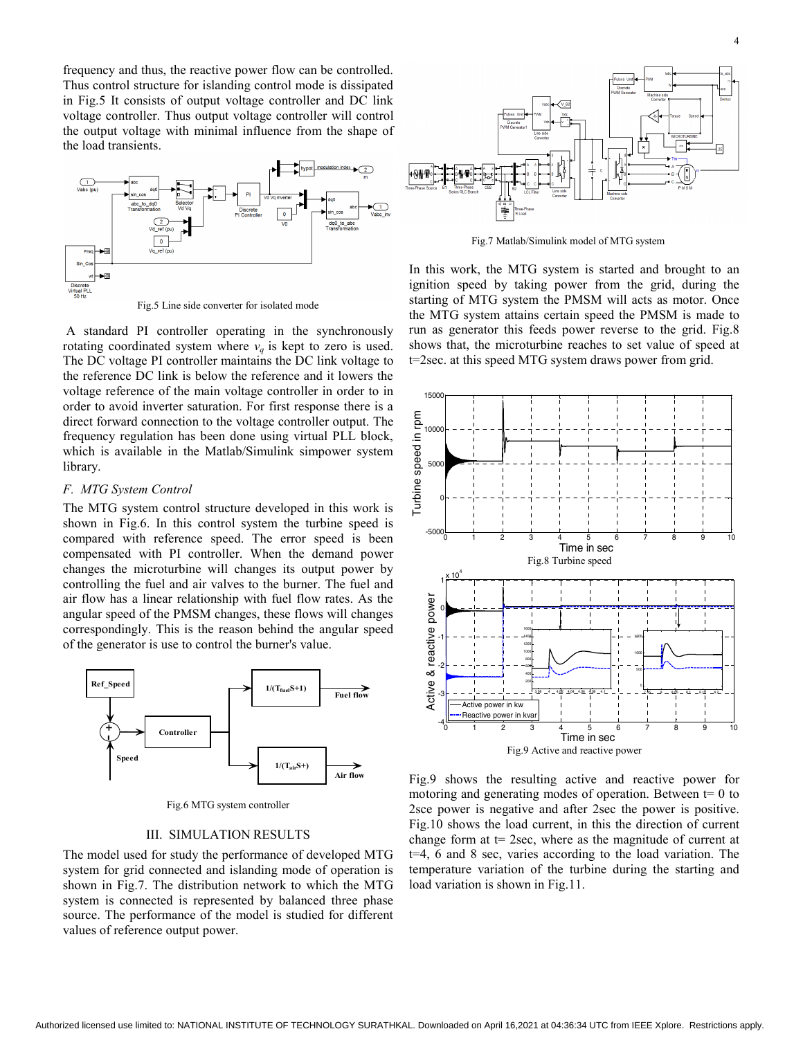frequency and thus, the reactive power flow can be controlled. Thus control structure for islanding control mode is dissipated in Fig.5 It consists of output voltage controller and DC link voltage controller. Thus output voltage controller will control the output voltage with minimal influence from the shape of the load transients.



Fig.5 Line side converter for isolated mode

 A standard PI controller operating in the synchronously rotating coordinated system where  $v_q$  is kept to zero is used. The DC voltage PI controller maintains the DC link voltage to the reference DC link is below the reference and it lowers the voltage reference of the main voltage controller in order to in order to avoid inverter saturation. For first response there is a direct forward connection to the voltage controller output. The frequency regulation has been done using virtual PLL block, which is available in the Matlab/Simulink simpower system library.

# *F. MTG System Control*

The MTG system control structure developed in this work is shown in Fig.6. In this control system the turbine speed is compared with reference speed. The error speed is been compensated with PI controller. When the demand power changes the microturbine will changes its output power by controlling the fuel and air valves to the burner. The fuel and air flow has a linear relationship with fuel flow rates. As the angular speed of the PMSM changes, these flows will changes correspondingly. This is the reason behind the angular speed of the generator is use to control the burner's value.



Fig.6 MTG system controller

# III. SIMULATION RESULTS

The model used for study the performance of developed MTG system for grid connected and islanding mode of operation is shown in Fig.7. The distribution network to which the MTG system is connected is represented by balanced three phase source. The performance of the model is studied for different values of reference output power.



Fig.7 Matlab/Simulink model of MTG system

In this work, the MTG system is started and brought to an ignition speed by taking power from the grid, during the starting of MTG system the PMSM will acts as motor. Once the MTG system attains certain speed the PMSM is made to run as generator this feeds power reverse to the grid. Fig.8 shows that, the microturbine reaches to set value of speed at t=2sec. at this speed MTG system draws power from grid.



Fig.9 shows the resulting active and reactive power for motoring and generating modes of operation. Between  $t=0$  to 2sce power is negative and after 2sec the power is positive. Fig.10 shows the load current, in this the direction of current change form at  $t=$  2sec, where as the magnitude of current at t=4, 6 and 8 sec, varies according to the load variation. The temperature variation of the turbine during the starting and load variation is shown in Fig.11.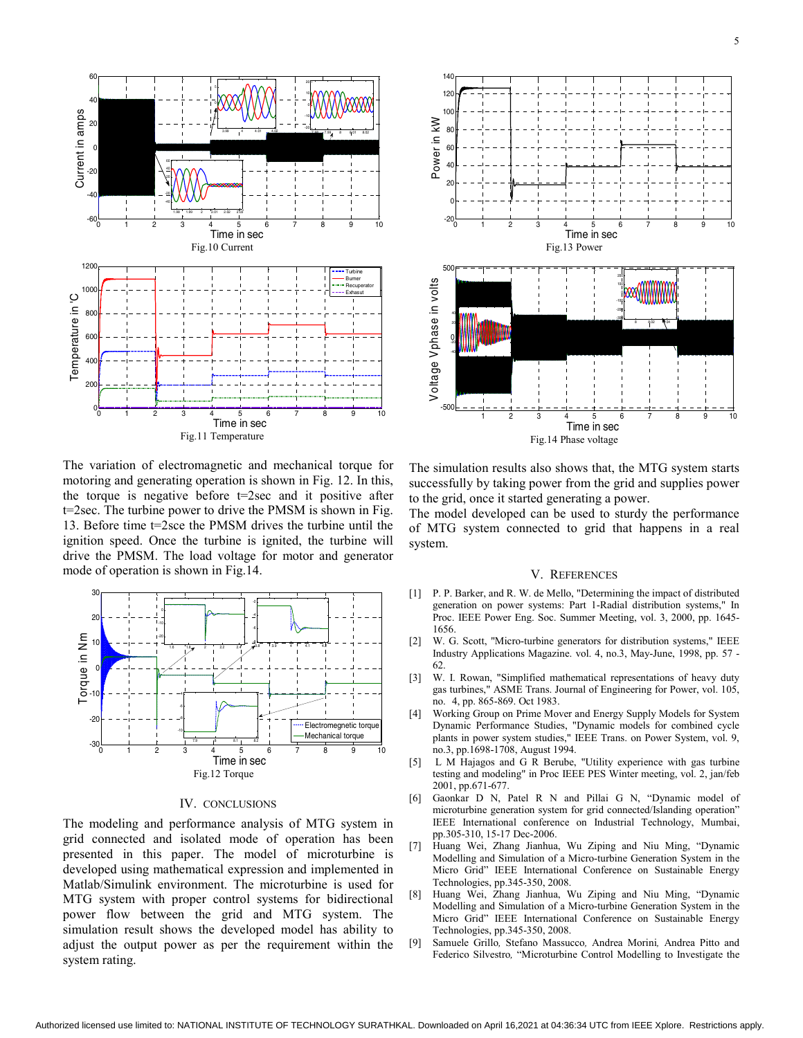

The variation of electromagnetic and mechanical torque for motoring and generating operation is shown in Fig. 12. In this, the torque is negative before  $t=2$ sec and it positive after t=2sec. The turbine power to drive the PMSM is shown in Fig. 13. Before time t=2sce the PMSM drives the turbine until the ignition speed. Once the turbine is ignited, the turbine will drive the PMSM. The load voltage for motor and generator mode of operation is shown in Fig.14.



#### IV. CONCLUSIONS

The modeling and performance analysis of MTG system in grid connected and isolated mode of operation has been presented in this paper. The model of microturbine is developed using mathematical expression and implemented in Matlab/Simulink environment. The microturbine is used for MTG system with proper control systems for bidirectional power flow between the grid and MTG system. The simulation result shows the developed model has ability to adjust the output power as per the requirement within the system rating.



The simulation results also shows that, the MTG system starts successfully by taking power from the grid and supplies power to the grid, once it started generating a power.

The model developed can be used to sturdy the performance of MTG system connected to grid that happens in a real system.

#### V. REFERENCES

- [1] P. P. Barker, and R. W. de Mello, "Determining the impact of distributed generation on power systems: Part 1-Radial distribution systems," In Proc. IEEE Power Eng. Soc. Summer Meeting, vol. 3, 2000, pp. 1645- 1656.
- [2] W. G. Scott, "Micro-turbine generators for distribution systems," IEEE Industry Applications Magazine. vol. 4, no.3, May-June, 1998, pp. 57 - 62.
- [3] W. I. Rowan, "Simplified mathematical representations of heavy duty gas turbines," ASME Trans. Journal of Engineering for Power, vol. 105, no. 4, pp. 865-869. Oct 1983.
- [4] Working Group on Prime Mover and Energy Supply Models for System Dynamic Performance Studies, "Dynamic models for combined cycle plants in power system studies," IEEE Trans. on Power System, vol. 9, no.3, pp.1698-1708, August 1994.
- [5] L M Hajagos and G R Berube, "Utility experience with gas turbine testing and modeling" in Proc IEEE PES Winter meeting, vol. 2, jan/feb 2001, pp.671-677.
- [6] Gaonkar D N, Patel R N and Pillai G N, "Dynamic model of microturbine generation system for grid connected/Islanding operation" IEEE International conference on Industrial Technology, Mumbai, pp.305-310, 15-17 Dec-2006.
- [7] Huang Wei, Zhang Jianhua, Wu Ziping and Niu Ming, "Dynamic Modelling and Simulation of a Micro-turbine Generation System in the Micro Grid" IEEE International Conference on Sustainable Energy Technologies, pp.345-350, 2008.
- Huang Wei, Zhang Jianhua, Wu Ziping and Niu Ming, "Dynamic Modelling and Simulation of a Micro-turbine Generation System in the Micro Grid" IEEE International Conference on Sustainable Energy Technologies, pp.345-350, 2008.
- [9] Samuele Grillo*,* Stefano Massucco*,* Andrea Morini*,* Andrea Pitto and Federico Silvestro*,* "Microturbine Control Modelling to Investigate the